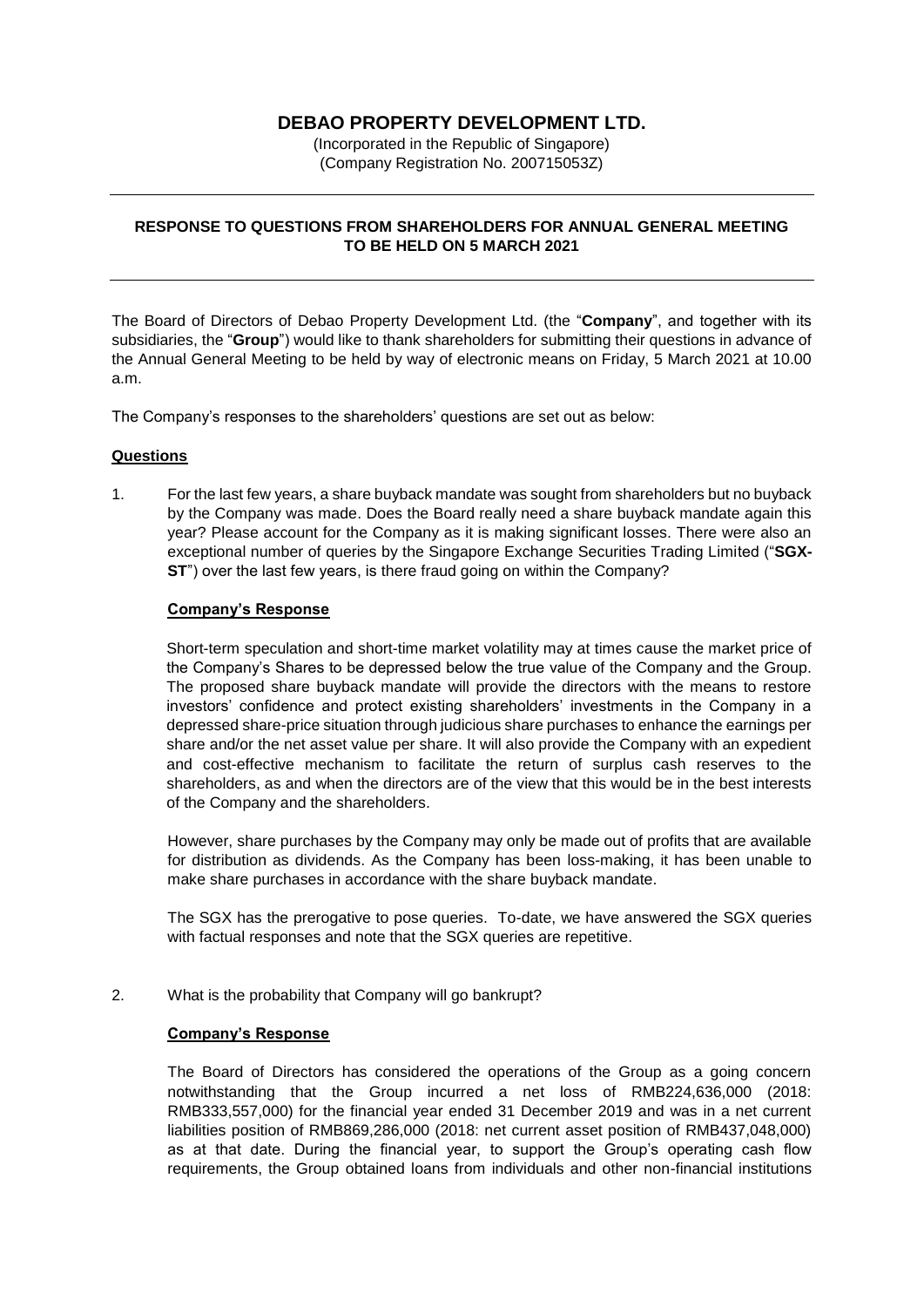# **DEBAO PROPERTY DEVELOPMENT LTD.**

(Incorporated in the Republic of Singapore) (Company Registration No. 200715053Z)

#### **RESPONSE TO QUESTIONS FROM SHAREHOLDERS FOR ANNUAL GENERAL MEETING TO BE HELD ON 5 MARCH 2021**

The Board of Directors of Debao Property Development Ltd. (the "**Company**", and together with its subsidiaries, the "**Group**") would like to thank shareholders for submitting their questions in advance of the Annual General Meeting to be held by way of electronic means on Friday, 5 March 2021 at 10.00 a.m.

The Company's responses to the shareholders' questions are set out as below:

#### **Questions**

1. For the last few years, a share buyback mandate was sought from shareholders but no buyback by the Company was made. Does the Board really need a share buyback mandate again this year? Please account for the Company as it is making significant losses. There were also an exceptional number of queries by the Singapore Exchange Securities Trading Limited ("**SGX-ST**") over the last few years, is there fraud going on within the Company?

#### **Company's Response**

Short-term speculation and short-time market volatility may at times cause the market price of the Company's Shares to be depressed below the true value of the Company and the Group. The proposed share buyback mandate will provide the directors with the means to restore investors' confidence and protect existing shareholders' investments in the Company in a depressed share-price situation through judicious share purchases to enhance the earnings per share and/or the net asset value per share. It will also provide the Company with an expedient and cost-effective mechanism to facilitate the return of surplus cash reserves to the shareholders, as and when the directors are of the view that this would be in the best interests of the Company and the shareholders.

However, share purchases by the Company may only be made out of profits that are available for distribution as dividends. As the Company has been loss-making, it has been unable to make share purchases in accordance with the share buyback mandate.

The SGX has the prerogative to pose queries. To-date, we have answered the SGX queries with factual responses and note that the SGX queries are repetitive.

#### 2. What is the probability that Company will go bankrupt?

#### **Company's Response**

The Board of Directors has considered the operations of the Group as a going concern notwithstanding that the Group incurred a net loss of RMB224,636,000 (2018: RMB333,557,000) for the financial year ended 31 December 2019 and was in a net current liabilities position of RMB869,286,000 (2018: net current asset position of RMB437,048,000) as at that date. During the financial year, to support the Group's operating cash flow requirements, the Group obtained loans from individuals and other non-financial institutions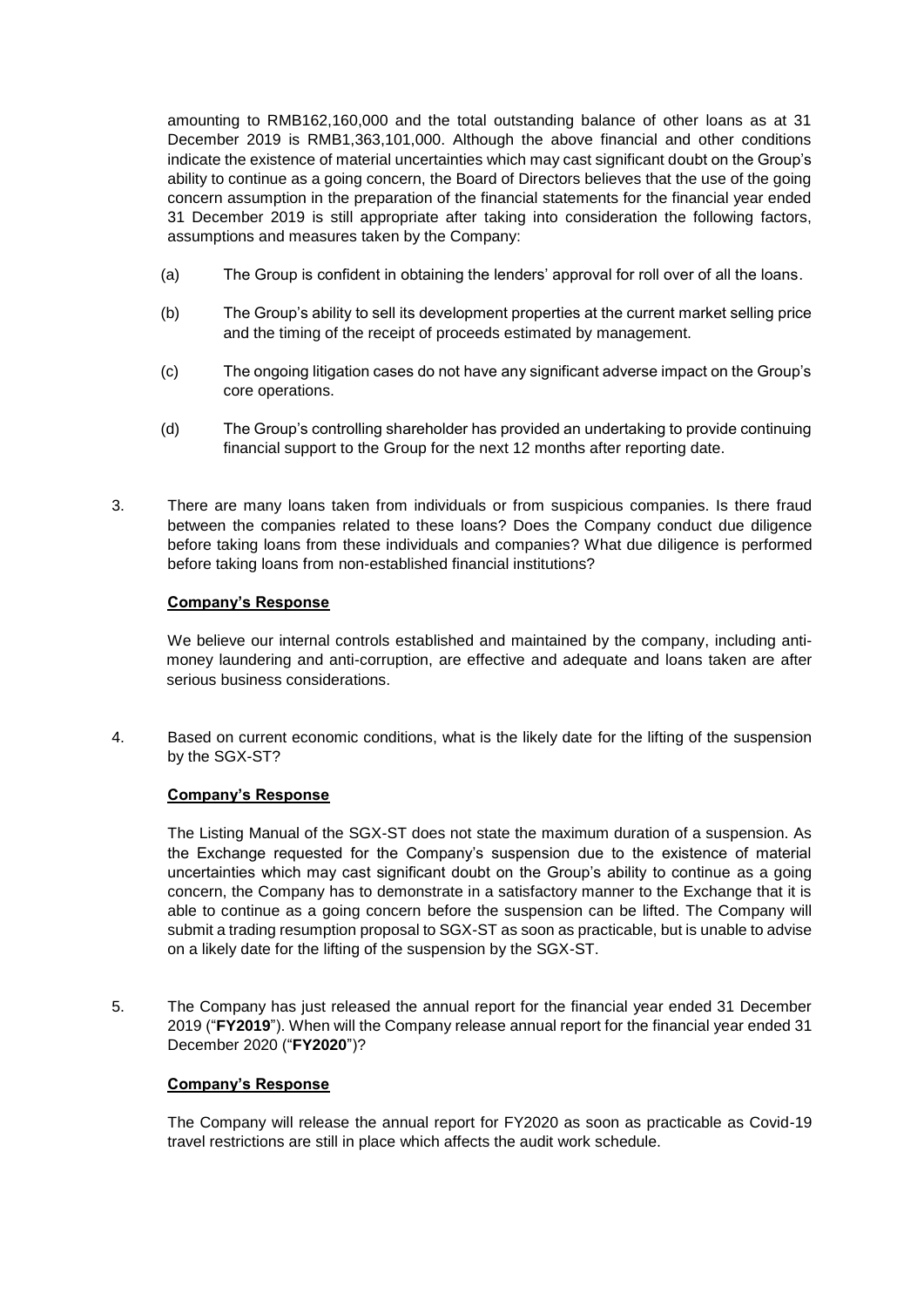amounting to RMB162,160,000 and the total outstanding balance of other loans as at 31 December 2019 is RMB1,363,101,000. Although the above financial and other conditions indicate the existence of material uncertainties which may cast significant doubt on the Group's ability to continue as a going concern, the Board of Directors believes that the use of the going concern assumption in the preparation of the financial statements for the financial year ended 31 December 2019 is still appropriate after taking into consideration the following factors, assumptions and measures taken by the Company:

- (a) The Group is confident in obtaining the lenders' approval for roll over of all the loans.
- (b) The Group's ability to sell its development properties at the current market selling price and the timing of the receipt of proceeds estimated by management.
- (c) The ongoing litigation cases do not have any significant adverse impact on the Group's core operations.
- (d) The Group's controlling shareholder has provided an undertaking to provide continuing financial support to the Group for the next 12 months after reporting date.
- 3. There are many loans taken from individuals or from suspicious companies. Is there fraud between the companies related to these loans? Does the Company conduct due diligence before taking loans from these individuals and companies? What due diligence is performed before taking loans from non-established financial institutions?

# **Company's Response**

We believe our internal controls established and maintained by the company, including antimoney laundering and anti-corruption, are effective and adequate and loans taken are after serious business considerations.

4. Based on current economic conditions, what is the likely date for the lifting of the suspension by the SGX-ST?

# **Company's Response**

The Listing Manual of the SGX-ST does not state the maximum duration of a suspension. As the Exchange requested for the Company's suspension due to the existence of material uncertainties which may cast significant doubt on the Group's ability to continue as a going concern, the Company has to demonstrate in a satisfactory manner to the Exchange that it is able to continue as a going concern before the suspension can be lifted. The Company will submit a trading resumption proposal to SGX-ST as soon as practicable, but is unable to advise on a likely date for the lifting of the suspension by the SGX-ST.

5. The Company has just released the annual report for the financial year ended 31 December 2019 ("**FY2019**"). When will the Company release annual report for the financial year ended 31 December 2020 ("**FY2020**")?

# **Company's Response**

The Company will release the annual report for FY2020 as soon as practicable as Covid-19 travel restrictions are still in place which affects the audit work schedule.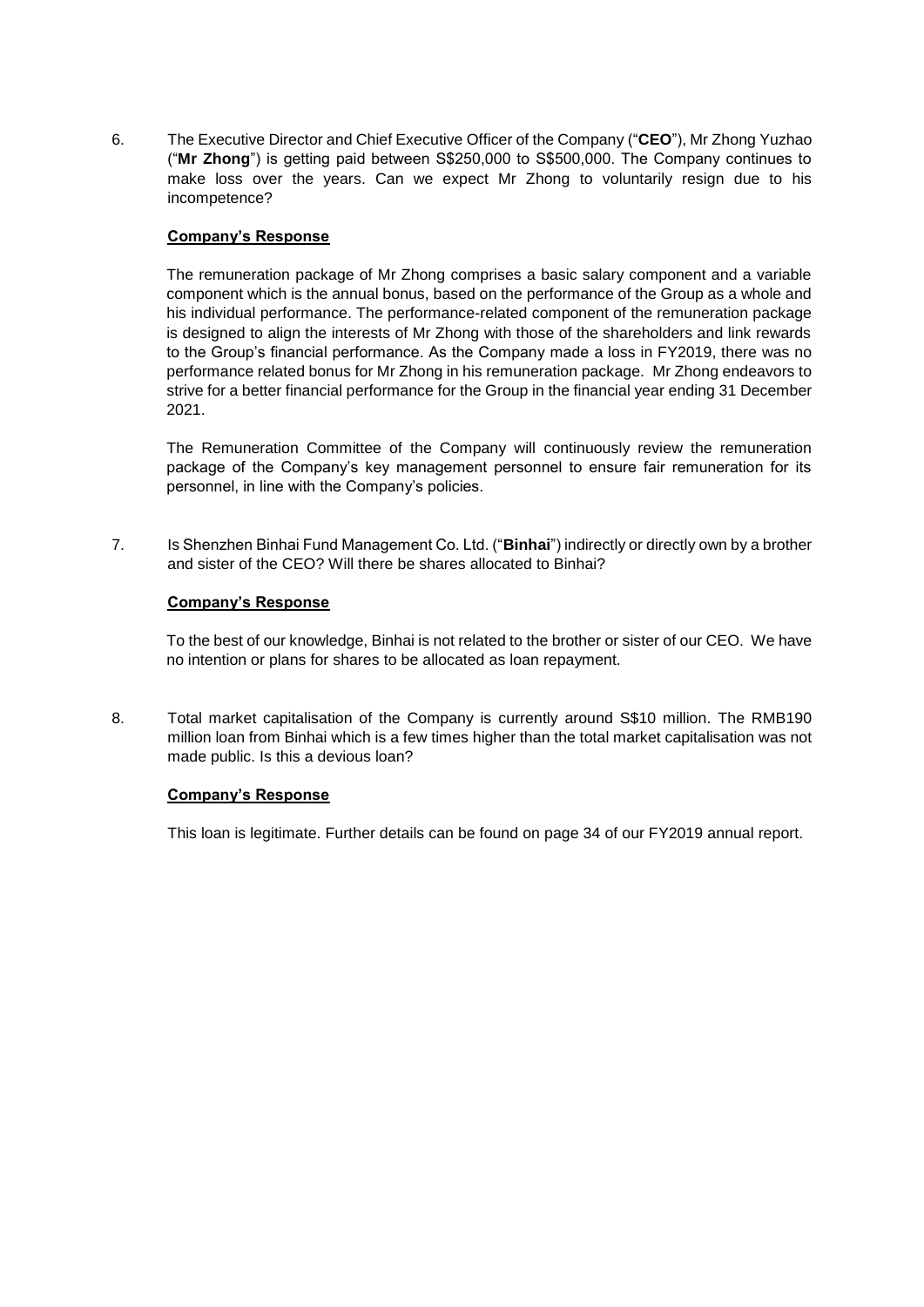6. The Executive Director and Chief Executive Officer of the Company ("**CEO**"), Mr Zhong Yuzhao ("**Mr Zhong**") is getting paid between S\$250,000 to S\$500,000. The Company continues to make loss over the years. Can we expect Mr Zhong to voluntarily resign due to his incompetence?

# **Company's Response**

The remuneration package of Mr Zhong comprises a basic salary component and a variable component which is the annual bonus, based on the performance of the Group as a whole and his individual performance. The performance-related component of the remuneration package is designed to align the interests of Mr Zhong with those of the shareholders and link rewards to the Group's financial performance. As the Company made a loss in FY2019, there was no performance related bonus for Mr Zhong in his remuneration package. Mr Zhong endeavors to strive for a better financial performance for the Group in the financial year ending 31 December 2021.

The Remuneration Committee of the Company will continuously review the remuneration package of the Company's key management personnel to ensure fair remuneration for its personnel, in line with the Company's policies.

7. Is Shenzhen Binhai Fund Management Co. Ltd. ("**Binhai**") indirectly or directly own by a brother and sister of the CEO? Will there be shares allocated to Binhai?

# **Company's Response**

To the best of our knowledge, Binhai is not related to the brother or sister of our CEO. We have no intention or plans for shares to be allocated as loan repayment.

8. Total market capitalisation of the Company is currently around S\$10 million. The RMB190 million loan from Binhai which is a few times higher than the total market capitalisation was not made public. Is this a devious loan?

# **Company's Response**

This loan is legitimate. Further details can be found on page 34 of our FY2019 annual report.